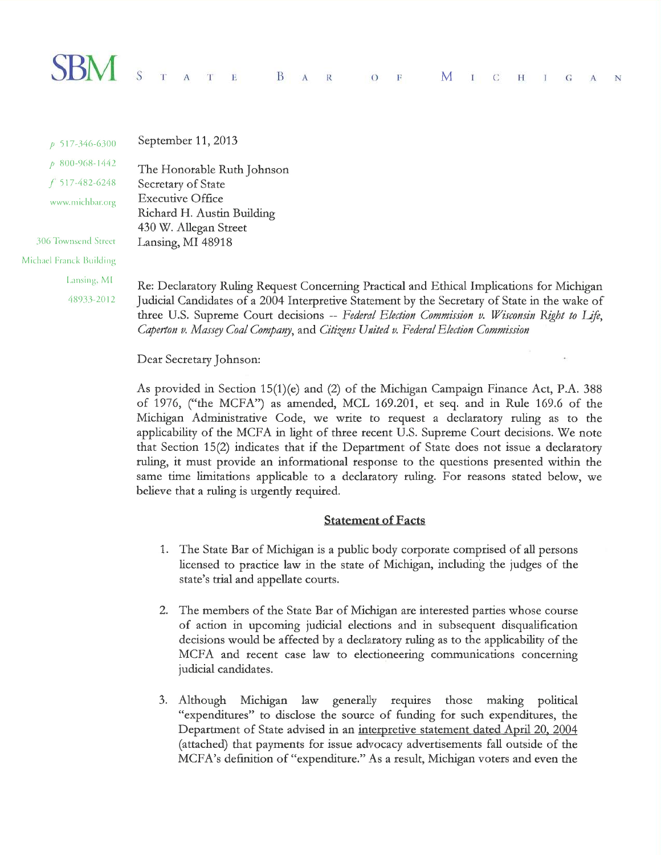### $\text{SBM}_{\tiny{\text{S} \text{A}}}$  $T$  E  $B \cap A$  $\mathbb{R}$ M  $\circ$  $\mathbf F$  $I \quad C$  $H$   $I$   $G$   $A$ N

September 11, 2013 p 517-346-6300  $p$  800-968-1442 The Honorable Ruth Johnson  $f$  517-482-6248 Secretary of State **Executive Office** www.michbar.org Richard H. Austin Building 430 W. Allegan Street 306 Townsend Street Lansing, MI 48918 Michael Franck Building

Lansing, MI

48933-2012

Re: Declaratory Ruling Request Concerning Practical and Ethical Implications for Michigan Judicial Candidates of a 2004 Interpretive Statement by the Secretary of State in the wake of three U.S. Supreme Court decisions -- Federal Election Commission v. Wisconsin Right to Life, Caperton v. Massey Coal Company, and Citizens United v. Federal Election Commission

Dear Secretary Johnson:

As provided in Section 15(1)(e) and (2) of the Michigan Campaign Finance Act, P.A. 388 of 1976, ("the MCFA") as amended, MCL 169.201, et seq. and in Rule 169.6 of the Michigan Administrative Code, we write to request a declaratory ruling as to the applicability of the MCFA in light of three recent U.S. Supreme Court decisions. We note that Section 15(2) indicates that if the Department of State does not issue a declaratory ruling, it must provide an informational response to the questions presented within the same time limitations applicable to a declaratory ruling. For reasons stated below, we believe that a ruling is urgently required.

# **Statement of Facts**

- 1. The State Bar of Michigan is a public body corporate comprised of all persons licensed to practice law in the state of Michigan, including the judges of the state's trial and appellate courts.
- 2. The members of the State Bar of Michigan are interested parties whose course of action in upcoming judicial elections and in subsequent disqualification decisions would be affected by a declaratory ruling as to the applicability of the MCFA and recent case law to electioneering communications concerning judicial candidates.
- 3. Although Michigan law generally requires those making political "expenditures" to disclose the source of funding for such expenditures, the Department of State advised in an interpretive statement dated April 20, 2004 (attached) that payments for issue advocacy advertisements fall outside of the MCFA's definition of "expenditure." As a result, Michigan voters and even the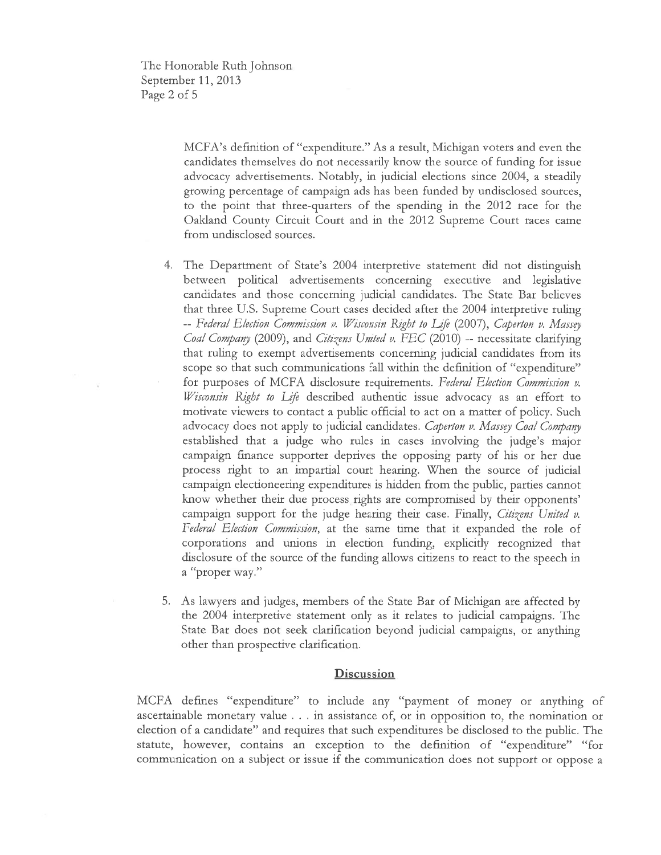The Honotable Ruth Johnson September 11, 2013 Page 2 of <sup>5</sup>

> MCFA's definition of "expenditure." As a tesult, Michigan voters and even the candidates themselves do not necessarily know the soutce of funding for issue advocacy advertisements. Notably, in judicial elections since 2004, a steadily growing percentage of campaign ads has been funded by undisclosed sources, to the point that three-quarters of the spending in the 2012 race for the Oakland County Circuit Court and in the 2012 Supreme Court races came ftom undisclosed sources.

- 4. The Department of State's 2004 interpretive statement did not distinguish between political advertisements concerning executive and legislative candidates and those concerning judicial candidates. The State Bar believes that three U.S. Supreme Court cases decided after the 2004 interpretive ruling -- Federal Election Commission v. Wisconsin Right to Life (2007), Caperton v. Massey Coal Company (2009), and Citizens United v. FEC (2010) -- necessitate clarifying that ruling to exempt advertisements concerning judicial candidates from its scope so that such communications fall within the definition of "expenditure" for purposes of MCFA disclosure requirements. Federal Election Commission v. Wisconsin Right to Life described authentic issue advocacy as an effort to motivate viewers to contact a public official to act on a matter of policy. Such advocacy does not apply to judicial candidates. *Caperton v. Massey Coal Company* established that a judge who rules in cases involving the judge's major campaign ftnance supporter deprives the opposing party of his or her due process right to an impartial coutt hearing, When the source of judicial campaign electioneering expenditutes is hidden from the public, parties cannot know whether their due process rights are compromised by their opponents' campaign support for the judge hearing their case. Finally, Citizens United v. Federal Election Commission, at the same time that it expanded the role of corporations and unions in election funding, explicitly recognized that disclosure of the source of the funding allows citizens to react to the speech in <sup>a</sup>"proper way."
- 5, As lawyers and judges, members of the State Bar of Michigan arc affected by the 2004 interpretive statement only as it relates to judicial campaigns. The State Bar does not seek clarification beyond judicial campaigns, or anything other than prospective clarification.

## **Discussion**

MCFA defines "expenditure" to include any "payment of money or anything of ascertainable monetary value . . . in assistance of, or in opposition to, the nomination or election of a candidate" and tequites that such expenditures be disclosed to the public. The statute, howevet, contains an exception to the definition of "expenditure" "fot communication on a subject or issue if the communication does not support or oppose a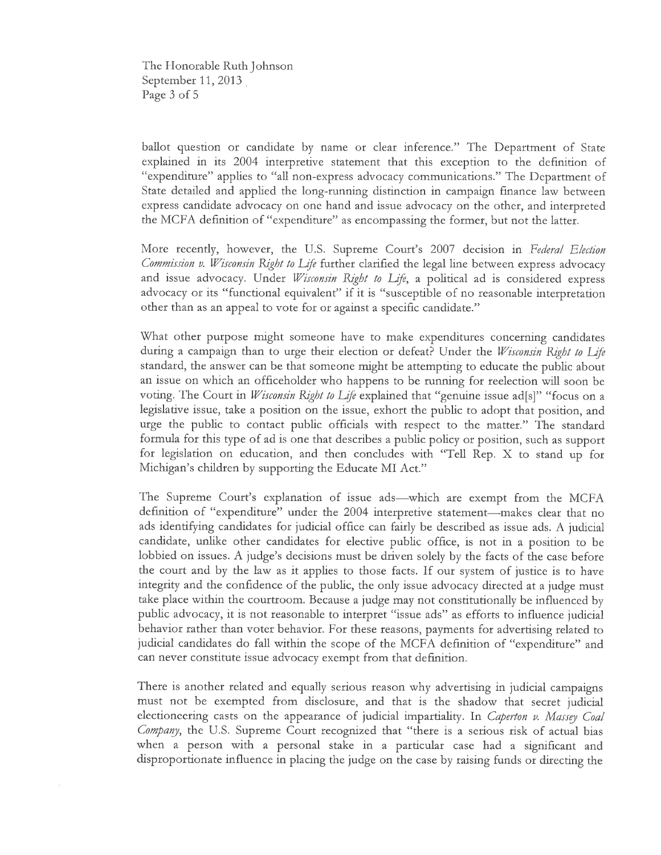The Flonorable Ruth Johnson September  $11,2013$ Page 3 of 5

ballot question or candidate by name or clear inference." The Department of State explained in its 2004 interpretive statement that this exception to the definition of "expenditure" applies to "all non-express advocacy communications." The Department of State detailed and applied the long-running distinction in campaign finance law between express candidate advocacy on one hand and issue advocacy on the other, and interpreted the MCFA definition of "expenditure" as encompassing the former, but not the latter.

More recently, however, the U.S. Supreme Court's 2007 decision in Federal Election *Commission v. Wisconsin Right to Life* further clarified the legal line between express advocacy and issue advocacy. Under Wisconsin Right to Life, a political ad is considered express advocacy or its "functional equivalent" if it is "susceptible of no reasonable interpretation other than as an appeal to vote for or against a specific candidate."  $\,$ 

What other purpose might someone have to make expenditures concerning candidates during a campaign than to urge their election or defeat? Under the *Wisconsin Right to Life* standard, the answer can be that someone might be attempting to educate the public about an issue on which an officeholder who happens to be running for reelection will soon be voting. The Court in *Wisconsin Right to Life* explained that "genuine issue ad[s]" "focus on a legislative issue, take a position on the issue, exhort the public to adopt that position, and urge the public to contact public officials with respect to the matter." The standard formula for this type of ad is one that describes a public policy or position, such as support for legislation on education, and then concludes with "Tell Rep. X to stand up for Michigan's children by supporting the Educate MI Act."

The Supreme Court's explanation of issue ads—which are exempt from the MCFA definition of "expenditure" under the 2004 interpretive statement-makes clear that no ads identifying candidates for judicial office can fairly be described as issue ads. A judicial candidate, unlike other candidates for elective public offìce, is not in a position to be lobbied on issues. A judge's decisions must be driven solely by the facts of the case before the court and by the law as it applies to those facts, If our system of justice is to have integrity and the confidence of the public, the only issue advocacy directed at a judge must take place within the courttoom. Because a judge may not constitutionally be influenced by public advocacy, it is not reasonable to interpret "issue ads" as efforts to influence judicial behavior rather than voter behavior. For these reasons, payments for advertising related to judicial candidates do fall within the scope of the MCFA definition of "expenditure" and can never constitute issue advocacy exempt from that definition.

There is another related and equally serious reason why advertising in judicial campaigns must not be exempted from disclosure, and that is the shadow that secret judicial electioneering casts on the appearance of judicial impartiality. In *Caperton v. Massey Coal* Company, the U.S. Supreme Court recognized that "there is a serious risk of actual bias when a person with a personal stake in a particular case had a significant and disproportionate influence in placing the judge on the case by raising funds or directing the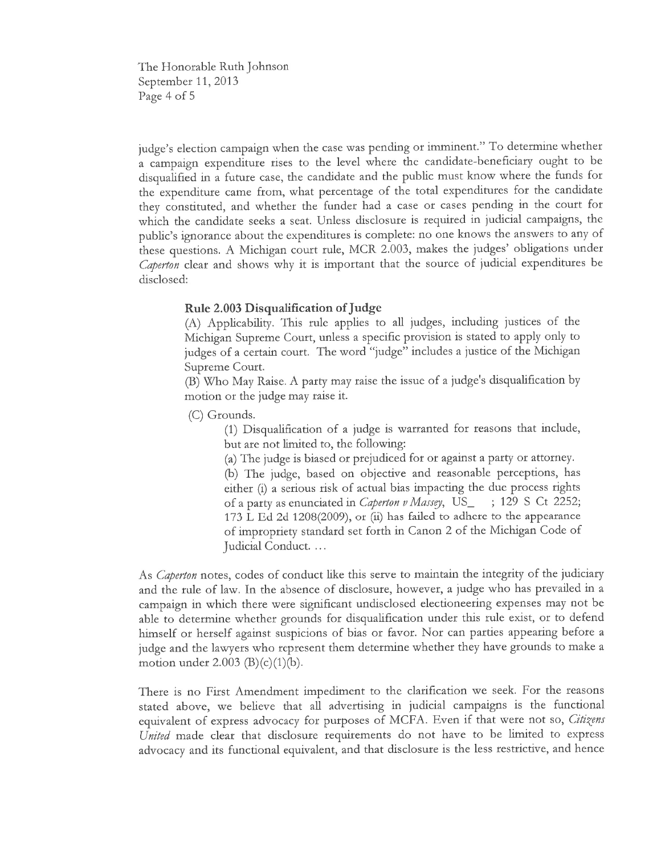The Honorable Ruth Johnson September 11, 2013 Page 4 of <sup>5</sup>

judge's election campaign when the case was pending or imminent." To determine whether a campaign expenditure rises to the level where the candidate-beneficiary ought to be disqualified in a future case, the candidate and the public must know where the funds for the expenditure came from, what percentage of the total expenditures for the candidate they constituted, and whether the fundet had a case or cases pending in the coutt fot which the candidate seeks a seat. Unless disclosute is tequired in judicial campaigns, the public's ignorance about the expenditures is complete: no one knows the answers to any of these questions. A Michigan court tule, MCR 2.003, makes the judges' obhgations under Caþerton clear and shows why it is important that the source of judicial expenditures be disclosed:

Rule 2.003 Disqualification of Judge<br>(A) Applicability. This rule applies to all judges, including justices of the Michigan Supreme Court, unless a specific provision is stated to apply only to judges of a certain court. The word "judge" includes a justice of the Michigan Supreme Court.

(B) Who May Raise. A party may raise the issue of a judge's disqualification by motion or the judge may raise it.

(C) Gtounds.

(1) Disqualification of a judge is watranted for teasons that include, but are not limited to, the following:

 $(a)$  The judge is biased or prejudiced for or against a party or attorney. þ) The judge, based on objective and reasonable petceptions, has either (i) a serious risk of actual bias impacting the due process rights of a party as enunciated in Caperton v Massey, US\_ ; 129 S Ct 2252; 173 L Ed 2d 1208(2009), or (ii) has failed to adhere to the appearance of impropriety standard set forth in Canon 2 of the Michigan Code of Judicial Conduct. ...

As *Caperton* notes, codes of conduct like this serve to maintain the integrity of the judiciary and the rule of law. In the absence of disclosure, howevet, a judge who has ptevailed in a campaign in which there were significant undisclosed electioneering expenses may not be able to determine whether grounds for disqualification under this rule exist, or to defend himself or herself against suspicions of bias or favor. Nor can patties appearing before a judge and the lawyers who tepresent them determine whether they have grounds to make a motion under 2.003  $(B)(c)(1)(b)$ .

There is no First Amendment impediment to the clarification we seek. For the reasons stated above, we believe that all advertising in judicial campaigns is the functional equivalent of express advocacy for purposes of MCFA. Even if that were not so, Citizens United made clear that disclosure requirements do not have to be limited to express advocacy and its functional equivalent, and that disclosure is the less restrictive, and hence